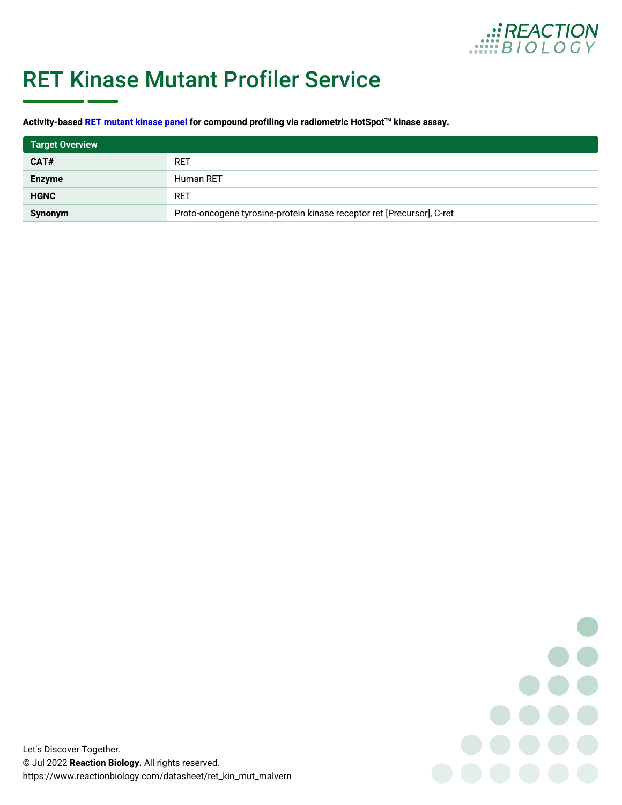

## RET Kinase Mutant Profiler Service

A ctivity-b<mark>Rt End mutant kinasfoe rpozomen</mark> pound profiling via rad<sup>h</sup>iokmineet**s** bece<del>l</del>s osteSypot

| <b>Target Overview</b> |                                                                      |  |
|------------------------|----------------------------------------------------------------------|--|
| CAT#                   | RET                                                                  |  |
| Enzyme                 | Human RET                                                            |  |
| HGNC                   | RET                                                                  |  |
| Synonym                | Proto-oncogene tyrosine-protein kinase receptor ret [Precursor], C-r |  |